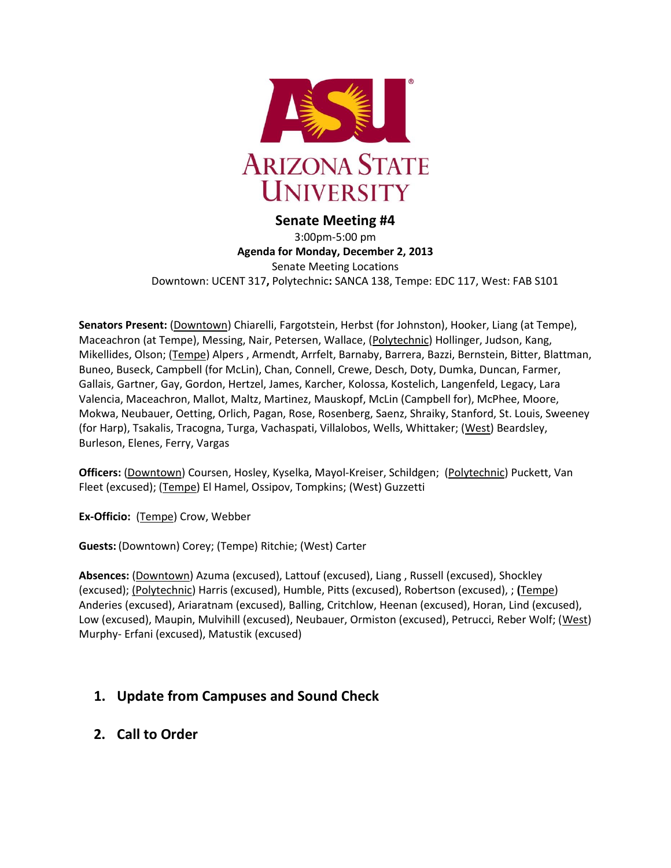

### **Senate Meeting #4**

3:00pm-5:00 pm **Agenda for Monday, December 2, 2013** Senate Meeting Locations Downtown: UCENT 317**,** Polytechnic**:** SANCA 138, Tempe: EDC 117, West: FAB S101

**Senators Present:** (Downtown) Chiarelli, Fargotstein, Herbst (for Johnston), Hooker, Liang (at Tempe), Maceachron (at Tempe), Messing, Nair, Petersen, Wallace, (Polytechnic) Hollinger, Judson, Kang, Mikellides, Olson; (Tempe) Alpers , Armendt, Arrfelt, Barnaby, Barrera, Bazzi, Bernstein, Bitter, Blattman, Buneo, Buseck, Campbell (for McLin), Chan, Connell, Crewe, Desch, Doty, Dumka, Duncan, Farmer, Gallais, Gartner, Gay, Gordon, Hertzel, James, Karcher, Kolossa, Kostelich, Langenfeld, Legacy, Lara Valencia, Maceachron, Mallot, Maltz, Martinez, Mauskopf, McLin (Campbell for), McPhee, Moore, Mokwa, Neubauer, Oetting, Orlich, Pagan, Rose, Rosenberg, Saenz, Shraiky, Stanford, St. Louis, Sweeney (for Harp), Tsakalis, Tracogna, Turga, Vachaspati, Villalobos, Wells, Whittaker; (West) Beardsley, Burleson, Elenes, Ferry, Vargas

**Officers:** (Downtown) Coursen, Hosley, Kyselka, Mayol-Kreiser, Schildgen; (Polytechnic) Puckett, Van Fleet (excused); (Tempe) El Hamel, Ossipov, Tompkins; (West) Guzzetti

**Ex-Officio:** (Tempe) Crow, Webber

**Guests:** (Downtown) Corey; (Tempe) Ritchie; (West) Carter

**Absences:** (Downtown) Azuma (excused), Lattouf (excused), Liang , Russell (excused), Shockley (excused); (Polytechnic) Harris (excused), Humble, Pitts (excused), Robertson (excused), ; **(**Tempe) Anderies (excused), Ariaratnam (excused), Balling, Critchlow, Heenan (excused), Horan, Lind (excused), Low (excused), Maupin, Mulvihill (excused), Neubauer, Ormiston (excused), Petrucci, Reber Wolf; (West) Murphy- Erfani (excused), Matustik (excused)

# **1. Update from Campuses and Sound Check**

## **2. Call to Order**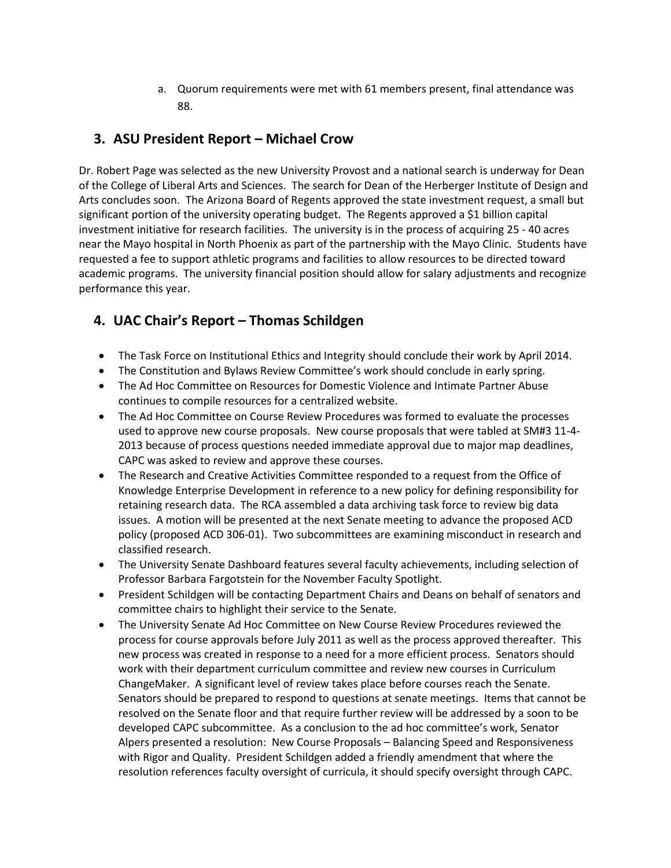a. Quorum requirements were met with 61 members present, final attendance was 88.

## **3. ASU President Report – Michael Crow**

Dr. Robert Page was selected as the new University Provost and a national search is underway for Dean of the College of Liberal Arts and Sciences. The search for Dean of the Herberger Institute of Design and Arts concludes soon. The Arizona Board of Regents approved the state investment request, a small but significant portion of the university operating budget. The Regents approved a \$1 billion capital investment initiative for research facilities. The university is in the process of acquiring 25 - 40 acres near the Mayo hospital in North Phoenix as part of the partnership with the Mayo Clinic. Students have requested a fee to support athletic programs and facilities to allow resources to be directed toward academic programs. The university financial position should allow for salary adjustments and recognize performance this year.

# **4. UAC Chair's Report – Thomas Schildgen**

- The Task Force on Institutional Ethics and Integrity should conclude their work by April 2014.
- The Constitution and Bylaws Review Committee's work should conclude in early spring.
- The Ad Hoc Committee on Resources for Domestic Violence and Intimate Partner Abuse continues to compile resources for a centralized website.
- The Ad Hoc Committee on Course Review Procedures was formed to evaluate the processes used to approve new course proposals. New course proposals that were tabled at SM#3 11-4- 2013 because of process questions needed immediate approval due to major map deadlines, CAPC was asked to review and approve these courses.
- The Research and Creative Activities Committee responded to a request from the Office of Knowledge Enterprise Development in reference to a new policy for defining responsibility for retaining research data. The RCA assembled a data archiving task force to review big data issues. A motion will be presented at the next Senate meeting to advance the proposed ACD policy (proposed ACD 306-01). Two subcommittees are examining misconduct in research and classified research.
- The University Senate Dashboard features several faculty achievements, including selection of Professor Barbara Fargotstein for the November Faculty Spotlight.
- President Schildgen will be contacting Department Chairs and Deans on behalf of senators and committee chairs to highlight their service to the Senate.
- The University Senate Ad Hoc Committee on New Course Review Procedures reviewed the process for course approvals before July 2011 as well as the process approved thereafter. This new process was created in response to a need for a more efficient process. Senators should work with their department curriculum committee and review new courses in Curriculum ChangeMaker. A significant level of review takes place before courses reach the Senate. Senators should be prepared to respond to questions at senate meetings. Items that cannot be resolved on the Senate floor and that require further review will be addressed by a soon to be developed CAPC subcommittee. As a conclusion to the ad hoc committee's work, Senator Alpers presented a resolution: New Course Proposals – Balancing Speed and Responsiveness with Rigor and Quality. President Schildgen added a friendly amendment that where the resolution references faculty oversight of curricula, it should specify oversight through CAPC.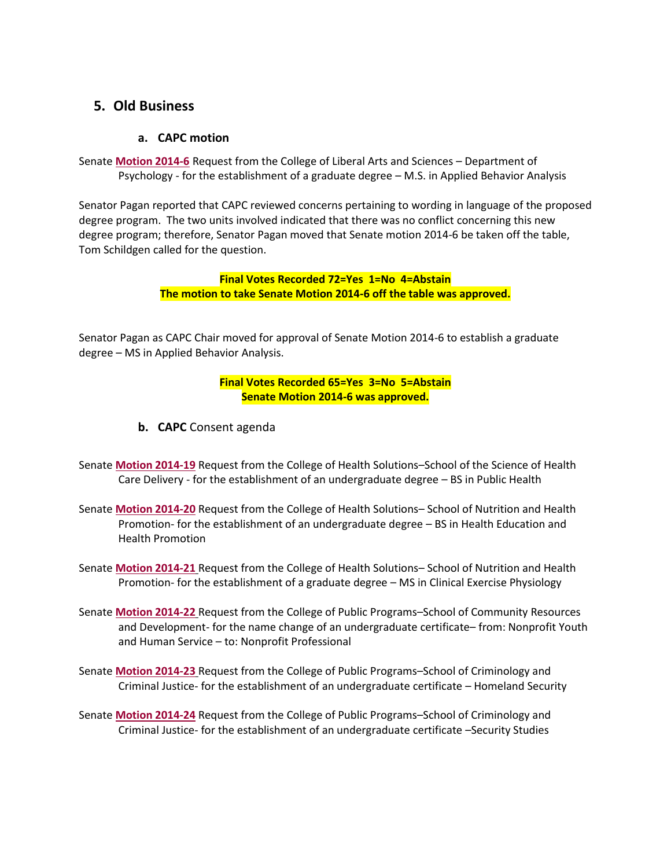## **5. Old Business**

### **a. CAPC motion**

Senate **[Motion 2014-6](http://usenate.asu.edu/node/4778)** Request from the College of Liberal Arts and Sciences – Department of Psychology - for the establishment of a graduate degree – M.S. in Applied Behavior Analysis

Senator Pagan reported that CAPC reviewed concerns pertaining to wording in language of the proposed degree program. The two units involved indicated that there was no conflict concerning this new degree program; therefore, Senator Pagan moved that Senate motion 2014-6 be taken off the table, Tom Schildgen called for the question.

> **Final Votes Recorded 72=Yes 1=No 4=Abstain The motion to take Senate Motion 2014-6 off the table was approved.**

Senator Pagan as CAPC Chair moved for approval of Senate Motion 2014-6 to establish a graduate degree – MS in Applied Behavior Analysis.

> **Final Votes Recorded 65=Yes 3=No 5=Abstain Senate Motion 2014-6 was approved.**

- **b. CAPC** Consent agenda
- Senate **[Motion 2014-19](http://usenate.asu.edu/node/4811)** Request from the College of Health Solutions–School of the Science of Health Care Delivery - for the establishment of an undergraduate degree – BS in Public Health
- Senate **[Motion 2014-20](http://usenate.asu.edu/node/4812)** Request from the College of Health Solutions– School of Nutrition and Health Promotion- for the establishment of an undergraduate degree – BS in Health Education and Health Promotion

Senate **[Motion 2014-21](http://usenate.asu.edu/node/4813)** Request from the College of Health Solutions– School of Nutrition and Health Promotion- for the establishment of a graduate degree – MS in Clinical Exercise Physiology

- Senate **[Motion 2014-22](http://usenate.asu.edu/node/4814)** Request from the College of Public Programs–School of Community Resources and Development- for the name change of an undergraduate certificate– from: Nonprofit Youth and Human Service – to: Nonprofit Professional
- Senate **[Motion 2014-23](http://usenate.asu.edu/node/4815)** Request from the College of Public Programs–School of Criminology and Criminal Justice- for the establishment of an undergraduate certificate – Homeland Security

Senate **[Motion 2014-24](http://usenate.asu.edu/node/4816)** Request from the College of Public Programs–School of Criminology and Criminal Justice- for the establishment of an undergraduate certificate –Security Studies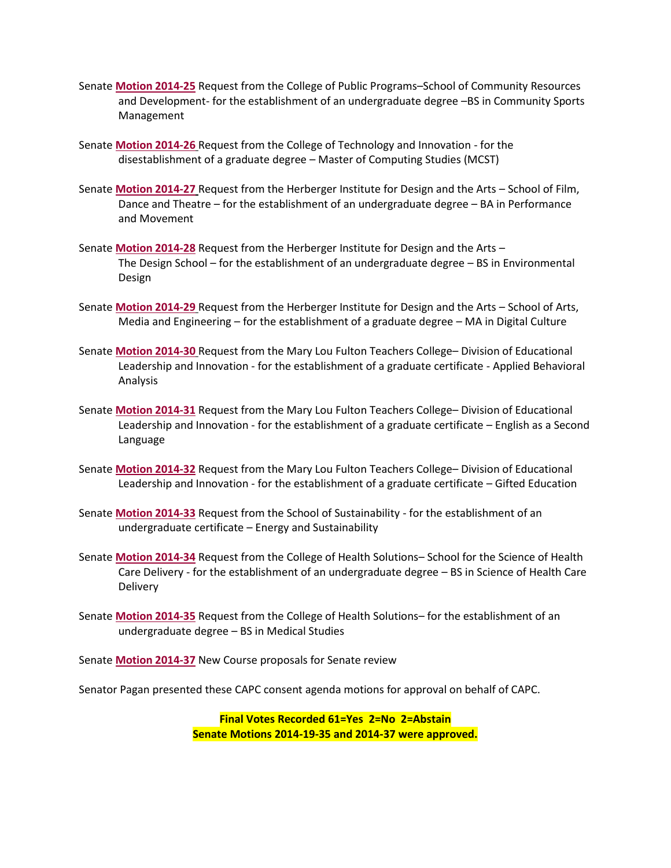- Senate **[Motion 2014-25](http://usenate.asu.edu/node/4817)** Request from the College of Public Programs–School of Community Resources and Development- for the establishment of an undergraduate degree –BS in Community Sports Management
- Senate **[Motion 2014-26](http://usenate.asu.edu/node/4818)** Request from the College of Technology and Innovation for the disestablishment of a graduate degree – Master of Computing Studies (MCST)
- Senate **[Motion 2014-27](http://usenate.asu.edu/node/4819)** Request from the Herberger Institute for Design and the Arts School of Film, Dance and Theatre – for the establishment of an undergraduate degree – BA in Performance and Movement
- Senate **[Motion 2014-28](http://usenate.asu.edu/node/4820)** Request from the Herberger Institute for Design and the Arts The Design School – for the establishment of an undergraduate degree – BS in Environmental Design
- Senate **[Motion 2014-29](http://usenate.asu.edu/node/4821)** Request from the Herberger Institute for Design and the Arts School of Arts, Media and Engineering – for the establishment of a graduate degree – MA in Digital Culture
- Senate **[Motion 2014-30](http://usenate.asu.edu/node/4822)** Request from the Mary Lou Fulton Teachers College– Division of Educational Leadership and Innovation - for the establishment of a graduate certificate - Applied Behavioral Analysis
- Senate **[Motion 2014-31](http://usenate.asu.edu/node/4823)** Request from the Mary Lou Fulton Teachers College– Division of Educational Leadership and Innovation - for the establishment of a graduate certificate – English as a Second Language
- Senate **[Motion 2014-32](http://usenate.asu.edu/node/4824)** Request from the Mary Lou Fulton Teachers College– Division of Educational Leadership and Innovation - for the establishment of a graduate certificate – Gifted Education
- Senate **[Motion 2014-33](http://usenate.asu.edu/node/4825)** Request from the School of Sustainability for the establishment of an undergraduate certificate – Energy and Sustainability
- Senate **[Motion 2014-34](http://usenate.asu.edu/node/4826)** Request from the College of Health Solutions– School for the Science of Health Care Delivery - for the establishment of an undergraduate degree – BS in Science of Health Care **Delivery**
- Senate **[Motion 2014-35](http://usenate.asu.edu/node/4828)** Request from the College of Health Solutions– for the establishment of an undergraduate degree – BS in Medical Studies

Senate **[Motion 2014-37](http://usenate.asu.edu/node/4851)** New Course proposals for Senate review

Senator Pagan presented these CAPC consent agenda motions for approval on behalf of CAPC.

**Final Votes Recorded 61=Yes 2=No 2=Abstain Senate Motions 2014-19-35 and 2014-37 were approved.**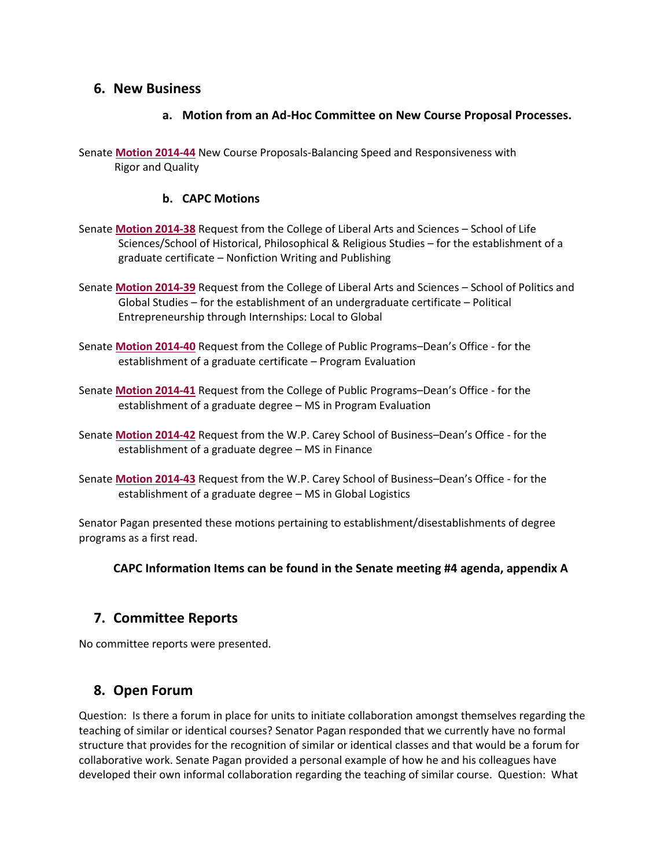## **6. New Business**

### **a. Motion from an Ad-Hoc Committee on New Course Proposal Processes.**

Senate **[Motion 2014-44](http://usenate.asu.edu/node/4864)** New Course Proposals-Balancing Speed and Responsiveness with Rigor and Quality

#### **b. CAPC Motions**

- Senate **[Motion 2014-38](http://usenate.asu.edu/node/4852)** Request from the College of Liberal Arts and Sciences School of Life Sciences/School of Historical, Philosophical & Religious Studies – for the establishment of a graduate certificate – Nonfiction Writing and Publishing
- Senate **[Motion 2014-39](http://usenate.asu.edu/node/4853)** Request from the College of Liberal Arts and Sciences School of Politics and Global Studies – for the establishment of an undergraduate certificate – Political Entrepreneurship through Internships: Local to Global
- Senate **[Motion 2014-40](http://usenate.asu.edu/node/4854)** Request from the College of Public Programs–Dean's Office for the establishment of a graduate certificate – Program Evaluation
- Senate **[Motion 2014-41](http://usenate.asu.edu/node/4855)** Request from the College of Public Programs–Dean's Office for the establishment of a graduate degree – MS in Program Evaluation
- Senate **[Motion 2014-42](http://usenate.asu.edu/node/4856)** Request from the W.P. Carey School of Business–Dean's Office for the establishment of a graduate degree – MS in Finance
- Senate **[Motion 2014-43](http://usenate.asu.edu/node/4857)** Request from the W.P. Carey School of Business–Dean's Office for the establishment of a graduate degree – MS in Global Logistics

Senator Pagan presented these motions pertaining to establishment/disestablishments of degree programs as a first read.

### **CAPC Information Items can be found in the Senate meeting #4 agenda, appendix A**

## **7. Committee Reports**

No committee reports were presented.

## **8. Open Forum**

Question: Is there a forum in place for units to initiate collaboration amongst themselves regarding the teaching of similar or identical courses? Senator Pagan responded that we currently have no formal structure that provides for the recognition of similar or identical classes and that would be a forum for collaborative work. Senate Pagan provided a personal example of how he and his colleagues have developed their own informal collaboration regarding the teaching of similar course. Question: What